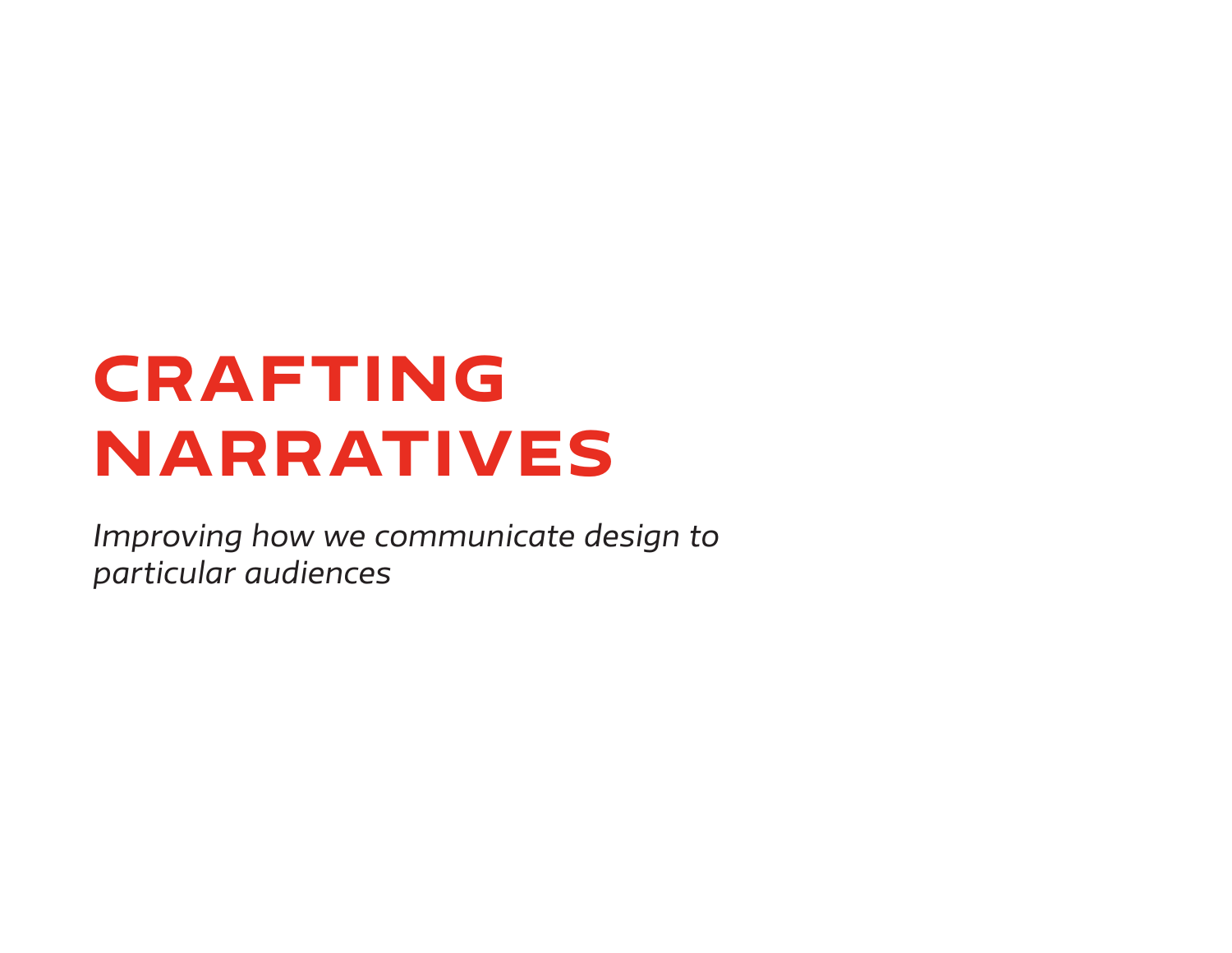# CRAFTING Narratives

*Improving how we communicate design to particular audiences*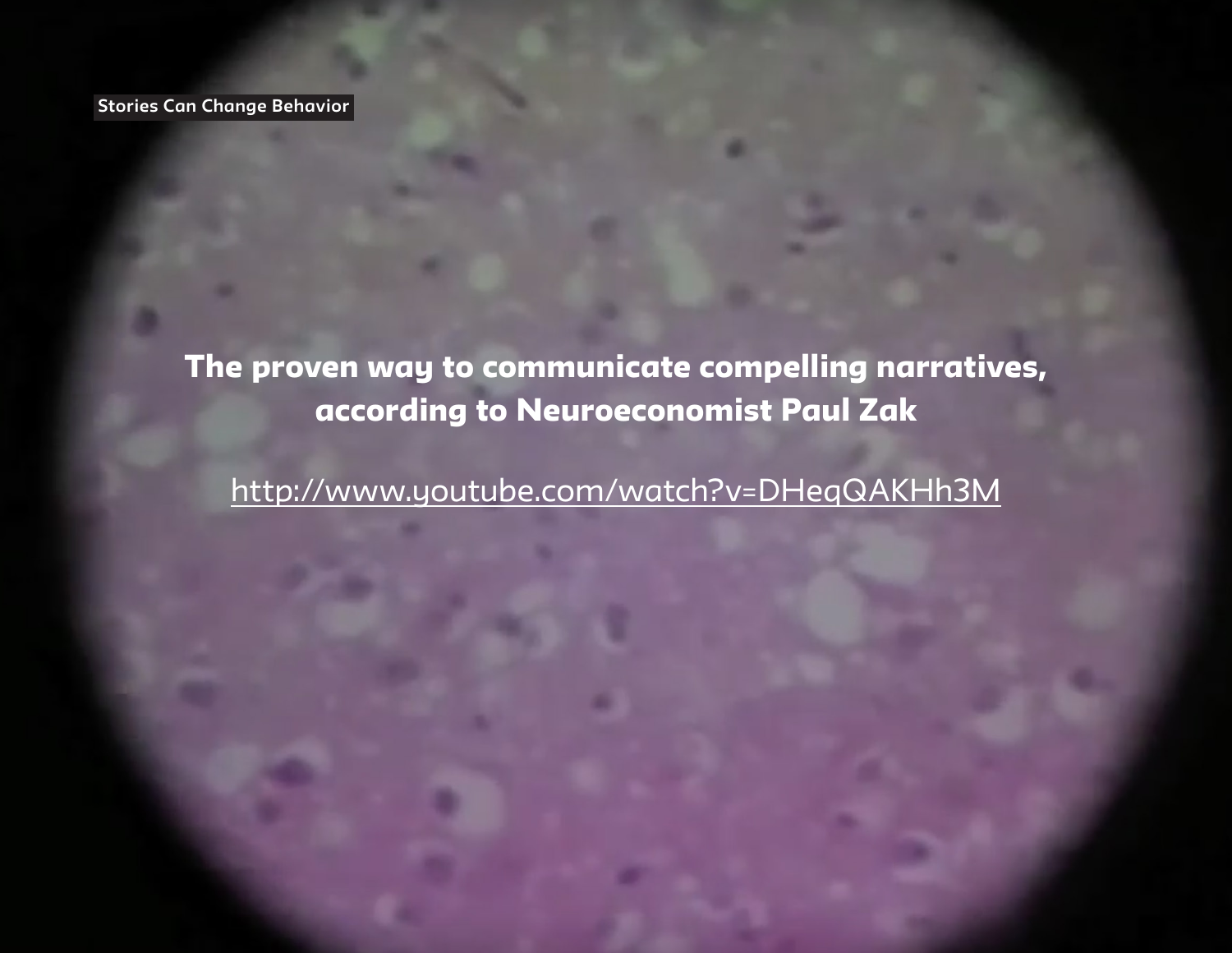**Stories Can Change Behavior** 

The proven way to communicate compelling narratives, according to Neuroeconomist Paul Zak

http://www.youtube.com/watch?v=DHeqQAKHh3M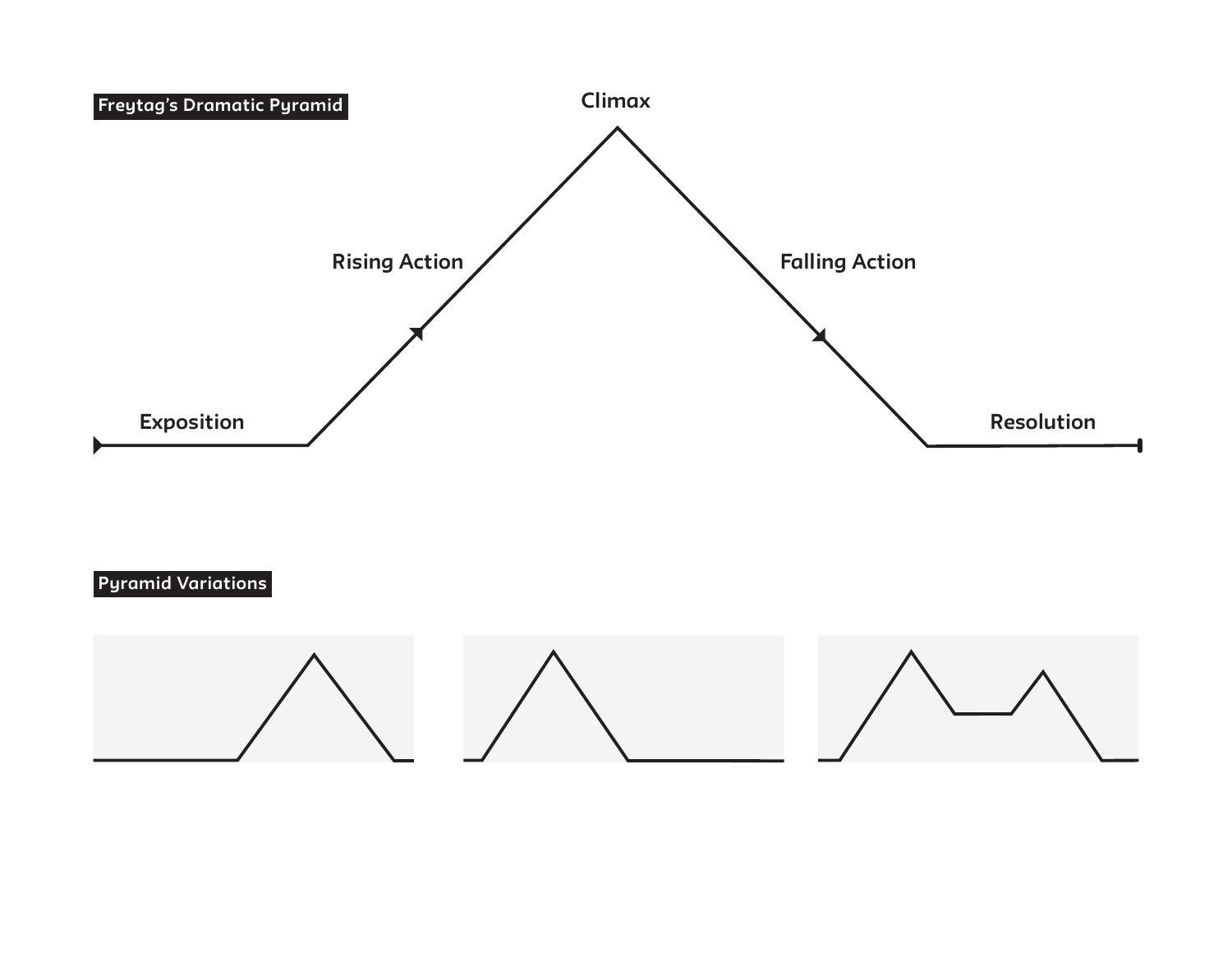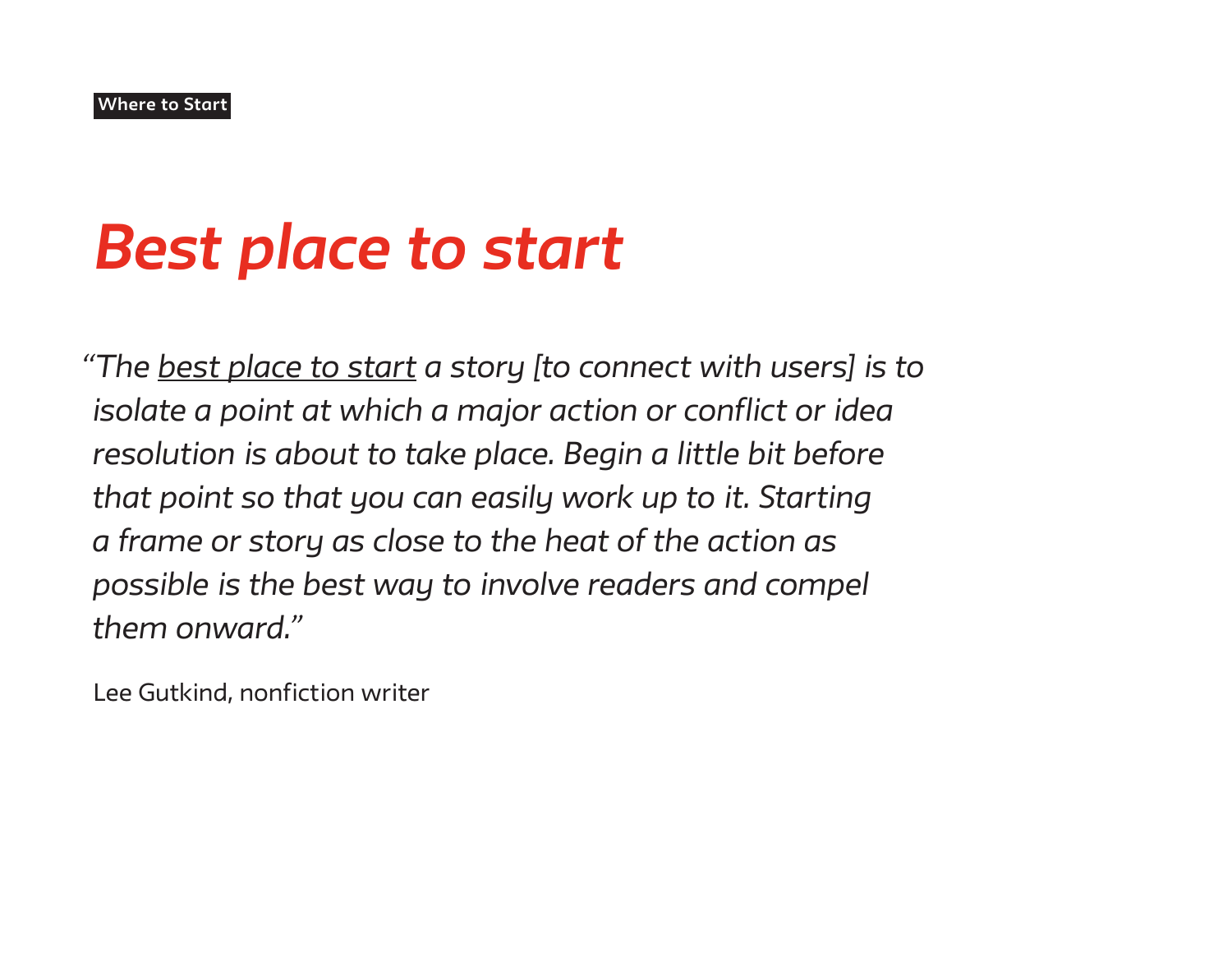### *Best place to start*

*"The best place to start a story [to connect with users] is to isolate a point at which a major action or conflict or idea resolution is about to take place. Begin a little bit before that point so that you can easily work up to it. Starting a frame or story as close to the heat of the action as possible is the best way to involve readers and compel them onward."*

Lee Gutkind, nonfiction writer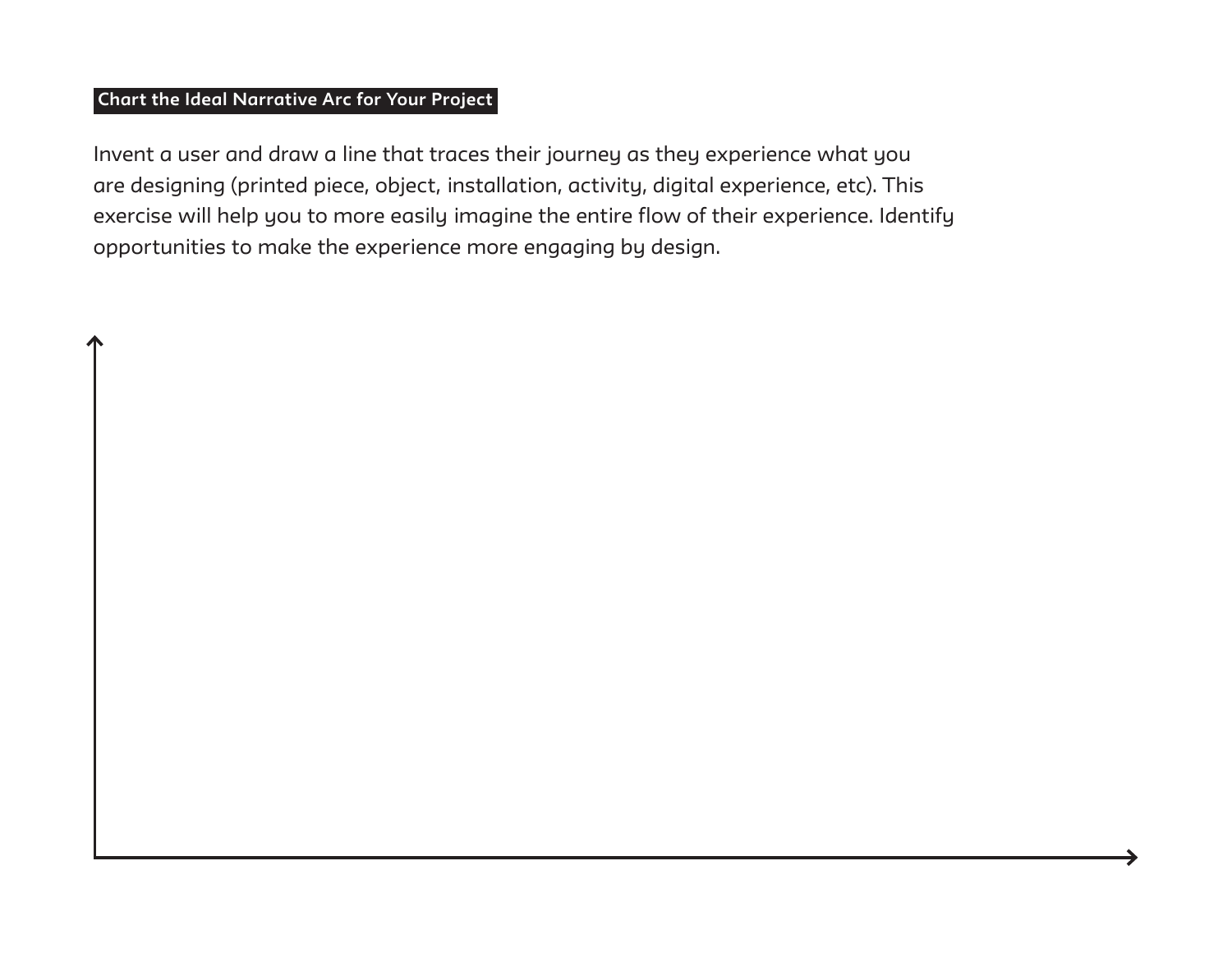#### **Chart the Ideal Narrative Arc for Your Project**

Invent a user and draw a line that traces their journey as they experience what you are designing (printed piece, object, installation, activity, digital experience, etc). This exercise will help you to more easily imagine the entire flow of their experience. Identify opportunities to make the experience more engaging by design.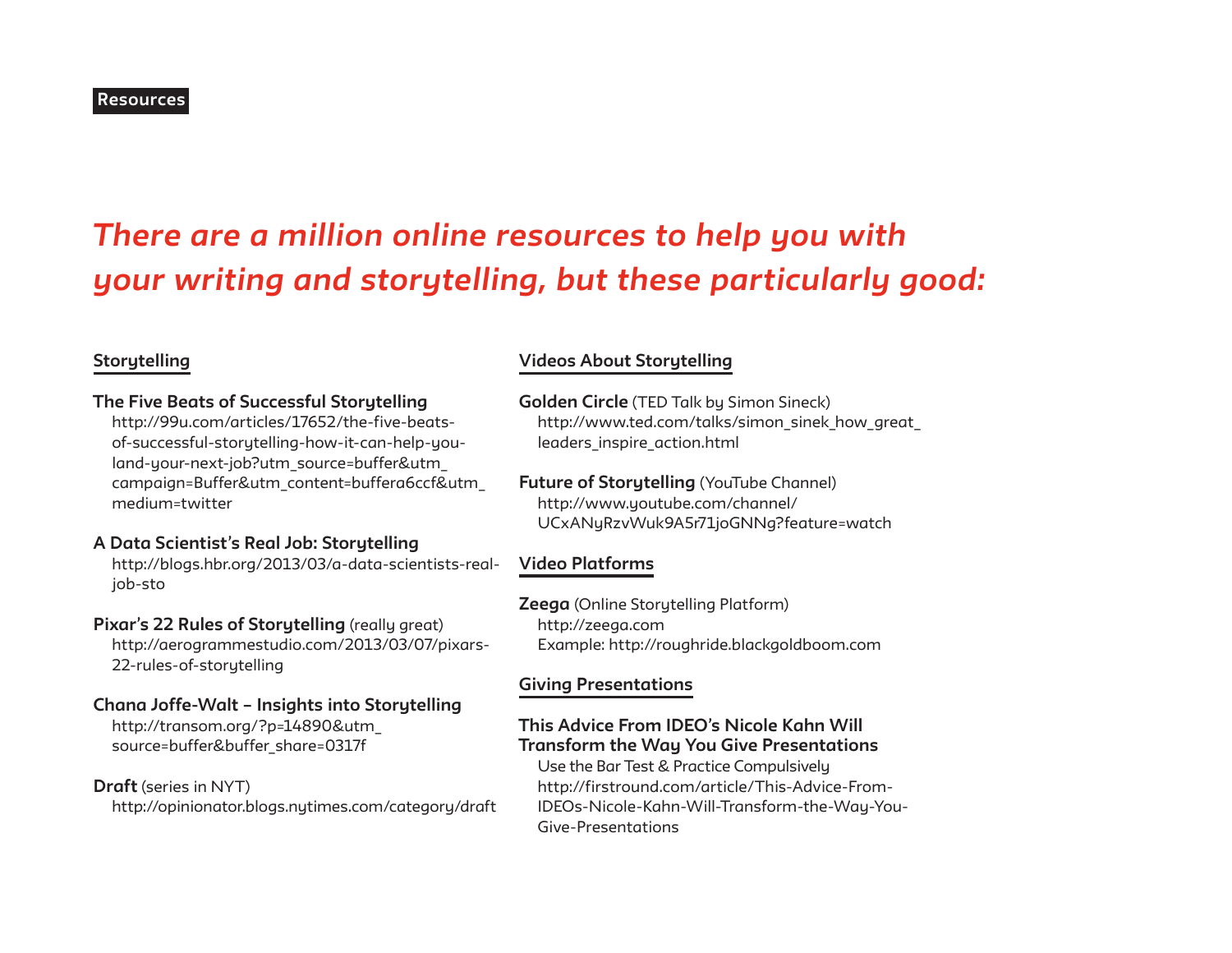### *There are a million online resources to help you with your writing and storytelling, but these particularly good:*

#### **Storytelling**

#### **The Five Beats of Successful Storytelling**  http://99u.com/articles/17652/the-five-beatsof-successful-storytelling-how-it-can-help-youland-your-next-job?utm\_source=buffer&utm\_ campaign=Buffer&utm\_content=buffera6ccf&utm\_ medium=twitter

#### **A Data Scientist's Real Job: Storytelling**

http://blogs.hbr.org/2013/03/a-data-scientists-realjob-sto

#### **Pixar's 22 Rules of Storytelling** (really great)

http://aerogrammestudio.com/2013/03/07/pixars-22-rules-of-storytelling

#### **Chana Joffe-Walt – Insights into Storytelling**

http://transom.org/?p=14890&utm\_ source=buffer&buffer\_share=0317f

**Draft** (series in NYT) http://opinionator.blogs.nytimes.com/category/draft

#### **Videos About Storytelling**

**Golden Circle** (TED Talk by Simon Sineck) http://www.ted.com/talks/simon\_sinek\_how\_great leaders\_inspire\_action.html

**Future of Storytelling** (YouTube Channel) http://www.youtube.com/channel/ UCxANyRzvWuk9A5r71joGNNg?feature=watch

#### **Video Platforms**

**Zeega** (Online Storytelling Platform) http://zeega.com Example: http://roughride.blackgoldboom.com

#### **Giving Presentations**

#### **This Advice From IDEO's Nicole Kahn Will Transform the Way You Give Presentations**

Use the Bar Test & Practice Compulsively http://firstround.com/article/This-Advice-From-IDEOs-Nicole-Kahn-Will-Transform-the-Way-You-Give-Presentations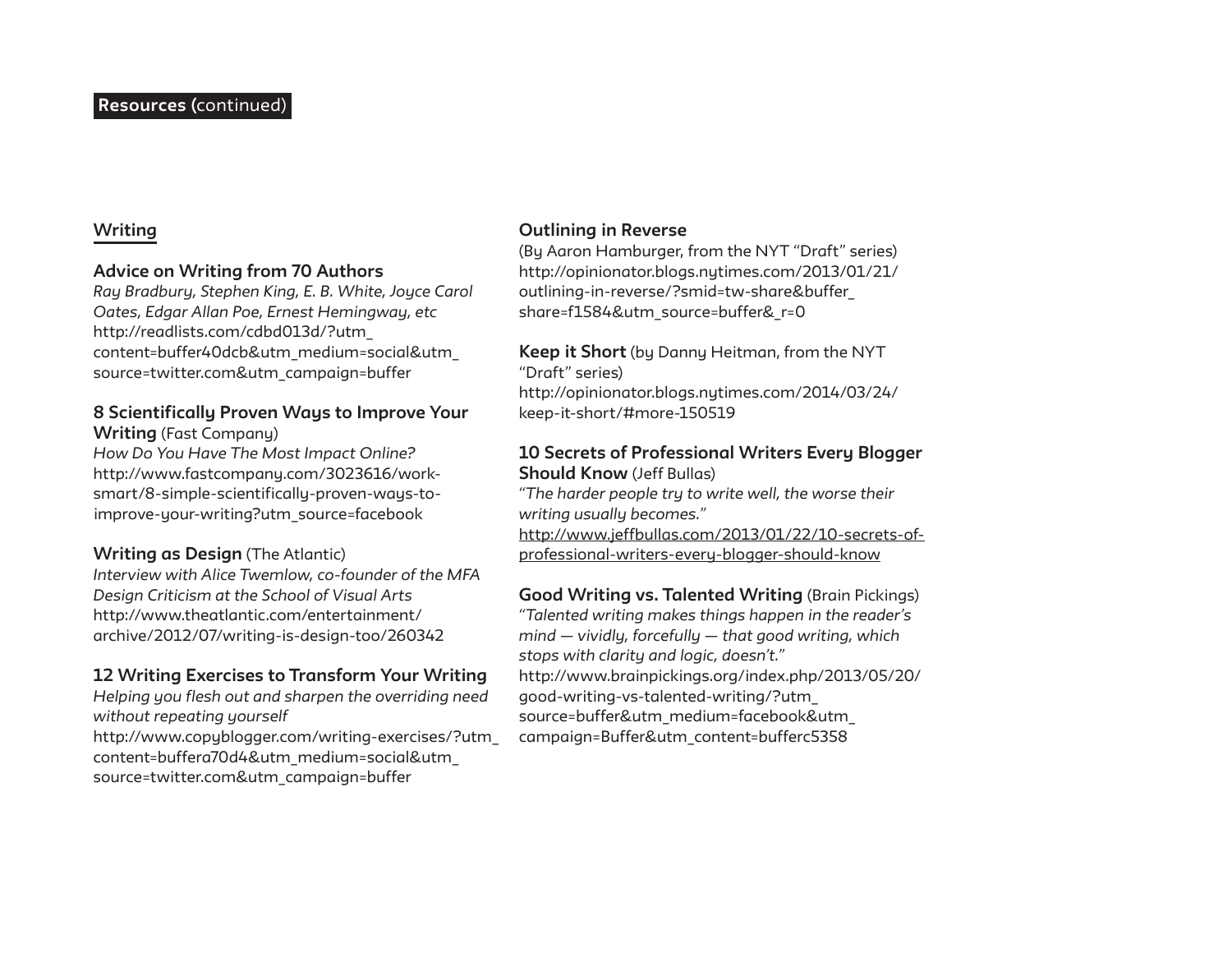#### **Writing**

#### **Advice on Writing from 70 Authors**

*Ray Bradbury, Stephen King, E. B. White, Joyce Carol Oates, Edgar Allan Poe, Ernest Hemingway, etc* http://readlists.com/cdbd013d/?utm\_ content=buffer40dcb&utm\_medium=social&utm\_ source=twitter.com&utm\_campaign=buffer

#### **8 Scientifically Proven Ways to Improve Your Writing** (Fast Company)

*How Do You Have The Most Impact Online?* http://www.fastcompany.com/3023616/worksmart/8-simple-scientifically-proven-ways-toimprove-your-writing?utm\_source=facebook

#### **Writing as Design** (The Atlantic)

*Interview with Alice Twemlow, co-founder of the MFA Design Criticism at the School of Visual Arts* http://www.theatlantic.com/entertainment/ archive/2012/07/writing-is-design-too/260342

#### **12 Writing Exercises to Transform Your Writing**

*Helping you flesh out and sharpen the overriding need without repeating yourself* http://www.copyblogger.com/writing-exercises/?utm\_ content=buffera70d4&utm\_medium=social&utm\_ source=twitter.com&utm\_campaign=buffer

#### **Outlining in Reverse**

(By Aaron Hamburger, from the NYT "Draft" series) http://opinionator.blogs.nytimes.com/2013/01/21/ outlining-in-reverse/?smid=tw-share&buffer\_ share=f1584&utm\_source=buffer&\_r=0

**Keep it Short** (by Danny Heitman, from the NYT "Draft" series) http://opinionator.blogs.nytimes.com/2014/03/24/ keep-it-short/#more-150519

#### **10 Secrets of Professional Writers Every Blogger Should Know** (Jeff Bullas)

*"The harder people try to write well, the worse their writing usually becomes."*

http://www.jeffbullas.com/2013/01/22/10-secrets-ofprofessional-writers-every-blogger-should-know

#### **Good Writing vs. Talented Writing** (Brain Pickings)

*"Talented writing makes things happen in the reader's mind — vividly, forcefully — that good writing, which stops with clarity and logic, doesn't."* http://www.brainpickings.org/index.php/2013/05/20/ good-writing-vs-talented-writing/?utm\_ source=buffer&utm\_medium=facebook&utm\_ campaign=Buffer&utm\_content=bufferc5358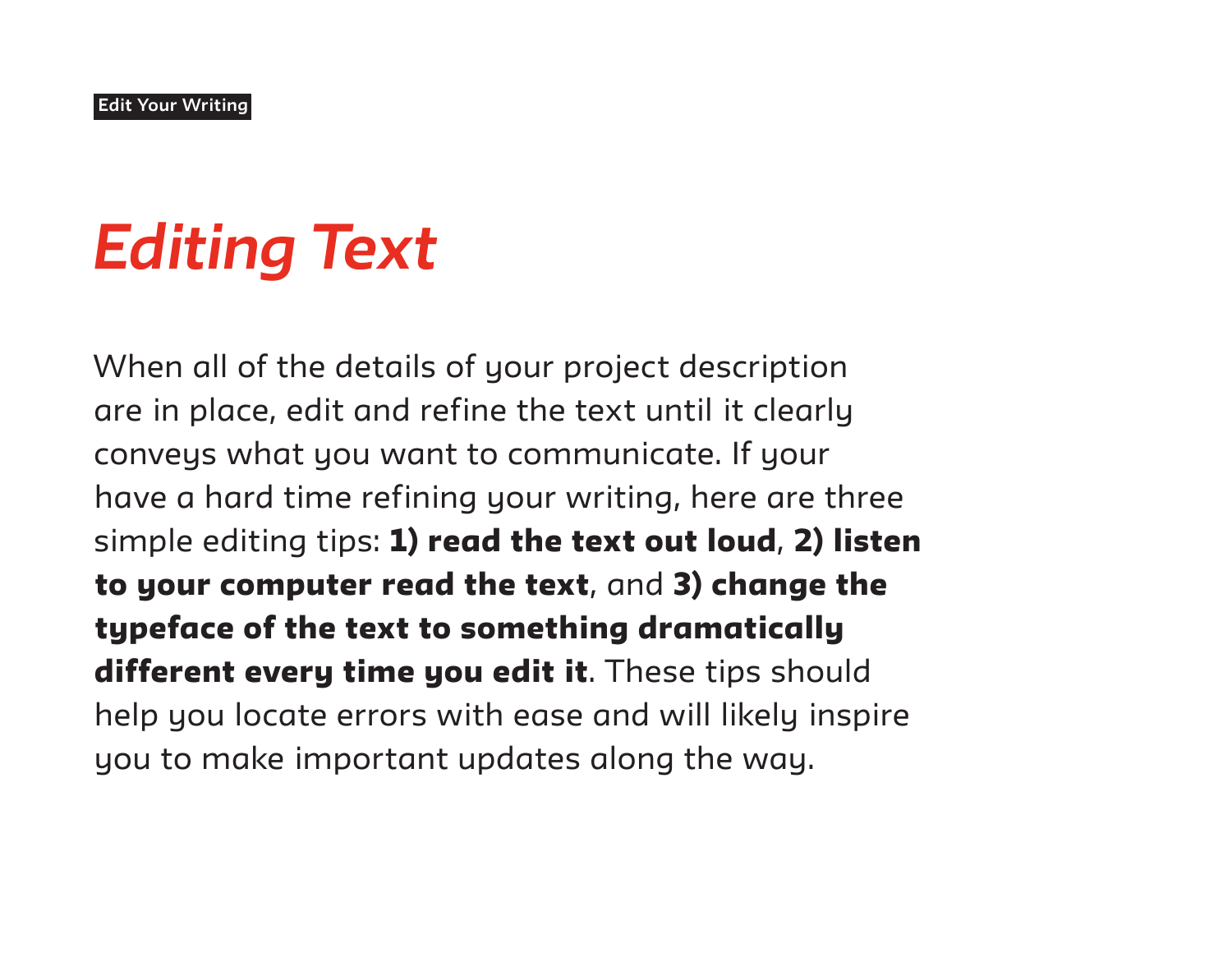# *Editing Text*

When all of the details of your project description are in place, edit and refine the text until it clearly conveys what you want to communicate. If your have a hard time refining your writing, here are three simple editing tips: 1) read the text out loud, 2) listen to your computer read the text, and 3) change the typeface of the text to something dramatically different every time you edit it. These tips should help you locate errors with ease and will likely inspire you to make important updates along the way.